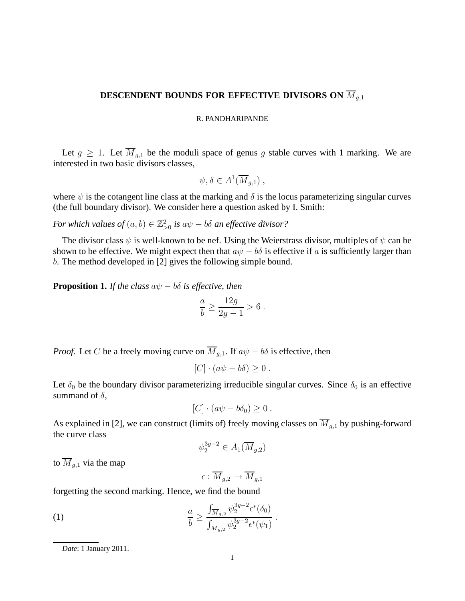# **DESCENDENT BOUNDS FOR EFFECTIVE DIVISORS ON**  $\overline{M}_{q,1}$

### R. PANDHARIPANDE

Let  $g \ge 1$ . Let  $\overline{M}_{g,1}$  be the moduli space of genus g stable curves with 1 marking. We are interested in two basic divisors classes,

$$
\psi, \delta \in A^1(\overline{M}_{g,1}) ,
$$

where  $\psi$  is the cotangent line class at the marking and  $\delta$  is the locus parameterizing singular curves (the full boundary divisor). We consider here a question asked by I. Smith:

*For which values of*  $(a, b) \in \mathbb{Z}_{>0}^2$  *is*  $a\psi - b\delta$  *an effective divisor?* 

The divisor class  $\psi$  is well-known to be nef. Using the Weierstrass divisor, multiples of  $\psi$  can be shown to be effective. We might expect then that  $a\psi - b\delta$  is effective if a is sufficiently larger than b. The method developed in [2] gives the following simple bound.

**Proposition 1.** *If the class*  $a\psi - b\delta$  *is effective, then* 

$$
\frac{a}{b} \ge \frac{12g}{2g - 1} > 6.
$$

*Proof.* Let C be a freely moving curve on  $\overline{M}_{q,1}$ . If  $a\psi - b\delta$  is effective, then

$$
[C] \cdot (a\psi - b\delta) \ge 0.
$$

Let  $\delta_0$  be the boundary divisor parameterizing irreducible singular curves. Since  $\delta_0$  is an effective summand of  $\delta$ ,

$$
[C] \cdot (a\psi - b\delta_0) \geq 0.
$$

As explained in [2], we can construct (limits of) freely moving classes on  $\overline{M}_{q,1}$  by pushing-forward the curve class

$$
\psi_2^{3g-2} \in A_1(\overline{M}_{g,2})
$$

to  $\overline{M}_{q,1}$  via the map

 $\epsilon : \overline{M}_{q,2} \to \overline{M}_{q,1}$ 

forgetting the second marking. Hence, we find the bound

(1) 
$$
\frac{a}{b} \ge \frac{\int_{\overline{M}_{g,2}} \psi_2^{3g-2} \epsilon^*(\delta_0)}{\int_{\overline{M}_{g,2}} \psi_2^{3g-2} \epsilon^*(\psi_1)}.
$$

*Date*: 1 January 2011.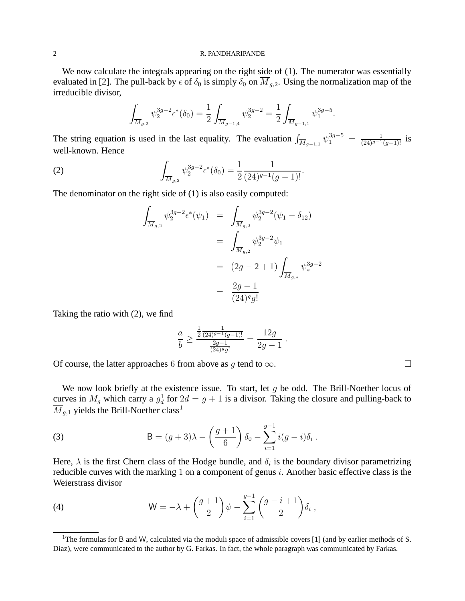#### 2 R. PANDHARIPANDE

We now calculate the integrals appearing on the right side of  $(1)$ . The numerator was essentially evaluated in [2]. The pull-back by  $\epsilon$  of  $\delta_0$  is simply  $\delta_0$  on  $\overline{M}_{g,2}$ . Using the normalization map of the irreducible divisor,

$$
\int_{\overline{M}_{g,2}} \psi_2^{3g-2} \epsilon^*(\delta_0) = \frac{1}{2} \int_{\overline{M}_{g-1,4}} \psi_2^{3g-2} = \frac{1}{2} \int_{\overline{M}_{g-1,1}} \psi_1^{3g-5}.
$$

The string equation is used in the last equality. The evaluation  $\int_{\overline{M}_{g-1,1}} \psi_1^{3g-5} = \frac{1}{(24)^{g-1}(g-1)!}$  is well-known. Hence

(2) 
$$
\int_{\overline{M}_{g,2}} \psi_2^{3g-2} \epsilon^*(\delta_0) = \frac{1}{2} \frac{1}{(24)^{g-1}(g-1)!}.
$$

The denominator on the right side of (1) is also easily computed:

$$
\int_{\overline{M}_{g,2}} \psi_2^{3g-2} \epsilon^* (\psi_1) = \int_{\overline{M}_{g,2}} \psi_2^{3g-2} (\psi_1 - \delta_{12})
$$
\n
$$
= \int_{\overline{M}_{g,2}} \psi_2^{3g-2} \psi_1
$$
\n
$$
= (2g - 2 + 1) \int_{\overline{M}_{g,*}} \psi_*^{3g-2}
$$
\n
$$
= \frac{2g - 1}{(24)^g g!}
$$

Taking the ratio with (2), we find

$$
\frac{a}{b} \ge \frac{\frac{1}{2} \frac{1}{(24)^{g-1}(g-1)!}}{\frac{2g-1}{(24)^{g}g!}} = \frac{12g}{2g-1}.
$$

Of course, the latter approaches 6 from above as q tend to  $\infty$ .

We now look briefly at the existence issue. To start, let  $g$  be odd. The Brill-Noether locus of curves in  $M_g$  which carry a  $g_d^1$  for  $2d = g + 1$  is a divisor. Taking the closure and pulling-back to  $\overline{M}_{q,1}$  yields the Brill-Noether class<sup>1</sup>

(3) 
$$
B = (g+3)\lambda - \left(\frac{g+1}{6}\right)\delta_0 - \sum_{i=1}^{g-1} i(g-i)\delta_i.
$$

Here,  $\lambda$  is the first Chern class of the Hodge bundle, and  $\delta_i$  is the boundary divisor parametrizing reducible curves with the marking 1 on a component of genus  $i$ . Another basic effective class is the Weierstrass divisor

(4) 
$$
W = -\lambda + \begin{pmatrix} g+1 \\ 2 \end{pmatrix} \psi - \sum_{i=1}^{g-1} \begin{pmatrix} g-i+1 \\ 2 \end{pmatrix} \delta_i,
$$

<sup>&</sup>lt;sup>1</sup>The formulas for B and W, calculated via the moduli space of admissible covers [1] (and by earlier methods of S. Diaz), were communicated to the author by G. Farkas. In fact, the whole paragraph was communicated by Farkas.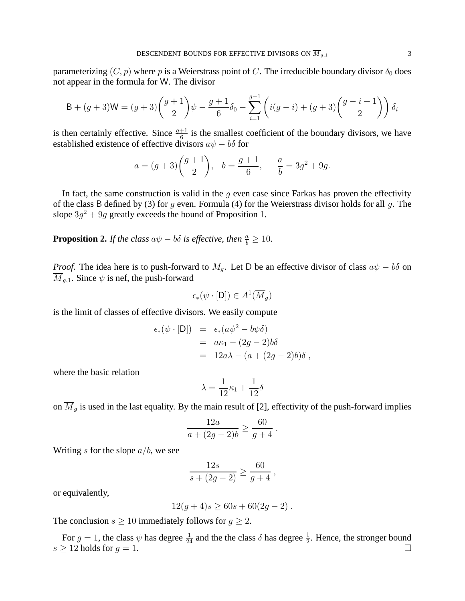parameterizing  $(C, p)$  where p is a Weierstrass point of C. The irreducible boundary divisor  $\delta_0$  does not appear in the formula for W. The divisor

$$
B + (g+3)W = (g+3)\binom{g+1}{2}\psi - \frac{g+1}{6}\delta_0 - \sum_{i=1}^{g-1} \left(i(g-i) + (g+3)\binom{g-i+1}{2}\right)\delta_i
$$

is then certainly effective. Since  $\frac{g+1}{6}$  is the smallest coefficient of the boundary divisors, we have established existence of effective divisors  $a\psi - b\delta$  for

$$
a = (g+3)\binom{g+1}{2}
$$
,  $b = \frac{g+1}{6}$ ,  $\frac{a}{b} = 3g^2 + 9g$ .

In fact, the same construction is valid in the  $q$  even case since Farkas has proven the effectivity of the class B defined by (3) for g even. Formula (4) for the Weierstrass divisor holds for all g. The slope  $3g^2 + 9g$  greatly exceeds the bound of Proposition 1.

**Proposition 2.** *If the class*  $a\psi - b\delta$  *is effective, then*  $\frac{a}{b} \ge 10$ *.* 

*Proof.* The idea here is to push-forward to  $M_q$ . Let D be an effective divisor of class  $a\psi - b\delta$  on  $M_{q,1}$ . Since  $\psi$  is nef, the push-forward

$$
\epsilon_*(\psi \cdot [\mathsf{D}]) \in A^1(\overline{M}_g)
$$

is the limit of classes of effective divisors. We easily compute

$$
\epsilon_*(\psi \cdot [\mathsf{D}]) = \epsilon_*(a\psi^2 - b\psi\delta)
$$
  
=  $a\kappa_1 - (2g - 2)b\delta$   
=  $12a\lambda - (a + (2g - 2)b)\delta$ ,

where the basic relation

$$
\lambda = \frac{1}{12}\kappa_1 + \frac{1}{12}\delta
$$

on  $\overline{M}_g$  is used in the last equality. By the main result of [2], effectivity of the push-forward implies

$$
\frac{12a}{a + (2g - 2)b} \ge \frac{60}{g + 4}.
$$

Writing s for the slope  $a/b$ , we see

$$
\frac{12s}{s + (2g - 2)} \ge \frac{60}{g + 4} \,,
$$

or equivalently,

$$
12(g+4)s \ge 60s + 60(2g-2).
$$

The conclusion  $s \ge 10$  immediately follows for  $g \ge 2$ .

For  $g = 1$ , the class  $\psi$  has degree  $\frac{1}{24}$  and the the class  $\delta$  has degree  $\frac{1}{2}$ . Hence, the stronger bound  $s \geq 12$  holds for  $g = 1$ .